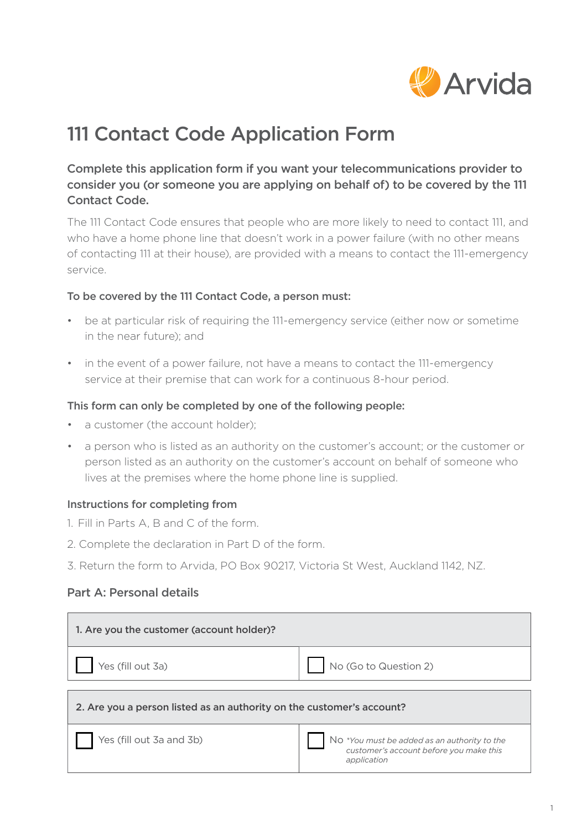

# 111 Contact Code Application Form

## Complete this application form if you want your telecommunications provider to consider you (or someone you are applying on behalf of) to be covered by the 111 Contact Code.

The 111 Contact Code ensures that people who are more likely to need to contact 111, and who have a home phone line that doesn't work in a power failure (with no other means of contacting 111 at their house), are provided with a means to contact the 111-emergency service.

### To be covered by the 111 Contact Code, a person must:

- be at particular risk of requiring the 111-emergency service (either now or sometime in the near future); and
- in the event of a power failure, not have a means to contact the 111-emergency service at their premise that can work for a continuous 8-hour period.

#### This form can only be completed by one of the following people:

- a customer (the account holder);
- a person who is listed as an authority on the customer's account; or the customer or person listed as an authority on the customer's account on behalf of someone who lives at the premises where the home phone line is supplied.

### Instructions for completing from

- 1. Fill in Parts A, B and C of the form.
- 2. Complete the declaration in Part D of the form.
- 3. Return the form to Arvida, PO Box 90217, Victoria St West, Auckland 1142, NZ.

### Part A: Personal details

| 1. Are you the customer (account holder)?                             |                                                                                                        |
|-----------------------------------------------------------------------|--------------------------------------------------------------------------------------------------------|
| Yes (fill out 3a)                                                     | No (Go to Question 2)                                                                                  |
| 2. Are you a person listed as an authority on the customer's account? |                                                                                                        |
| Yes (fill out 3a and 3b)                                              | No *You must be added as an authority to the<br>customer's account before you make this<br>application |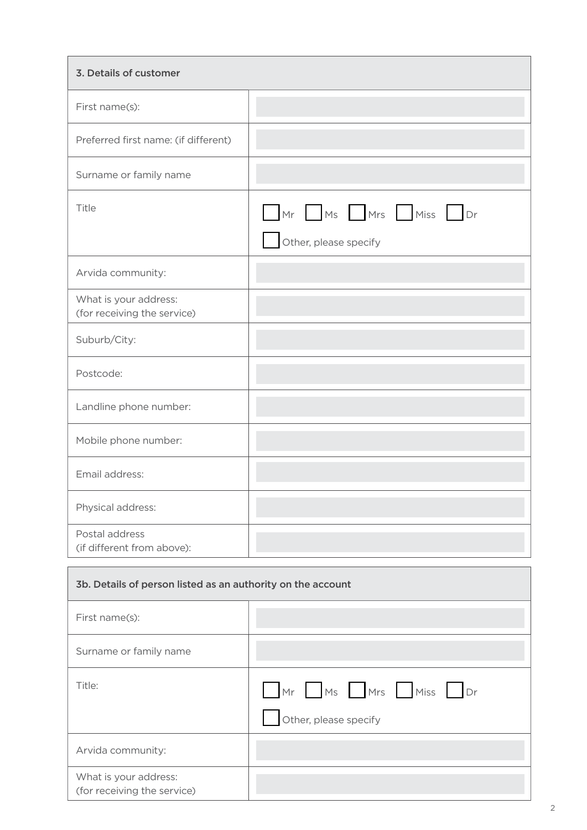| 3. Details of customer                                      |                                            |
|-------------------------------------------------------------|--------------------------------------------|
| First name(s):                                              |                                            |
| Preferred first name: (if different)                        |                                            |
| Surname or family name                                      |                                            |
| Title                                                       | Mr Ms Mrs Miss Dr<br>Other, please specify |
| Arvida community:                                           |                                            |
| What is your address:<br>(for receiving the service)        |                                            |
| Suburb/City:                                                |                                            |
| Postcode:                                                   |                                            |
| Landline phone number:                                      |                                            |
| Mobile phone number:                                        |                                            |
| Email address:                                              |                                            |
| Physical address:                                           |                                            |
| Postal address<br>(if different from above):                |                                            |
| 3b. Details of person listed as an authority on the account |                                            |
| First name(s):                                              |                                            |
| Surname or family name                                      |                                            |
| Title:                                                      | Mr Ms Mrs Miss Dr<br>Other, please specify |
| Arvida community:                                           |                                            |

What is your address: (for receiving the service)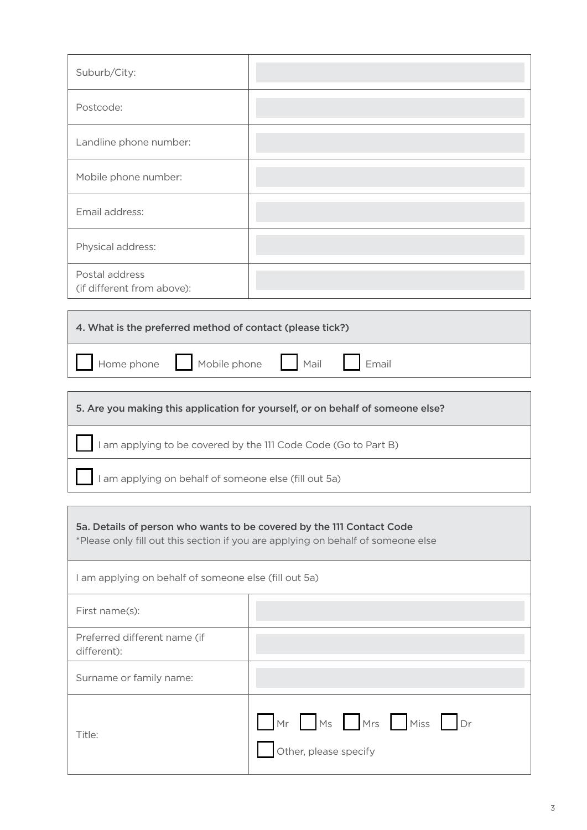| Suburb/City:                                                                                                                                              |  |
|-----------------------------------------------------------------------------------------------------------------------------------------------------------|--|
| Postcode:                                                                                                                                                 |  |
| Landline phone number:                                                                                                                                    |  |
| Mobile phone number:                                                                                                                                      |  |
| Email address:                                                                                                                                            |  |
| Physical address:                                                                                                                                         |  |
| Postal address<br>(if different from above):                                                                                                              |  |
|                                                                                                                                                           |  |
| 4. What is the preferred method of contact (please tick?)                                                                                                 |  |
| Home phone<br>Mobile phone<br>Mail<br>Email                                                                                                               |  |
|                                                                                                                                                           |  |
| 5. Are you making this application for yourself, or on behalf of someone else?                                                                            |  |
| I am applying to be covered by the 111 Code Code (Go to Part B)                                                                                           |  |
| I am applying on behalf of someone else (fill out 5a)                                                                                                     |  |
|                                                                                                                                                           |  |
| 5a. Details of person who wants to be covered by the 111 Contact Code<br>*Please only fill out this section if you are applying on behalf of someone else |  |
| I am applying on behalf of someone else (fill out 5a)                                                                                                     |  |

| First name(s):                              |                                            |
|---------------------------------------------|--------------------------------------------|
| Preferred different name (if<br>different): |                                            |
| Surname or family name:                     |                                            |
| Title:                                      | Mr Ms Mrs Miss Dr<br>Other, please specify |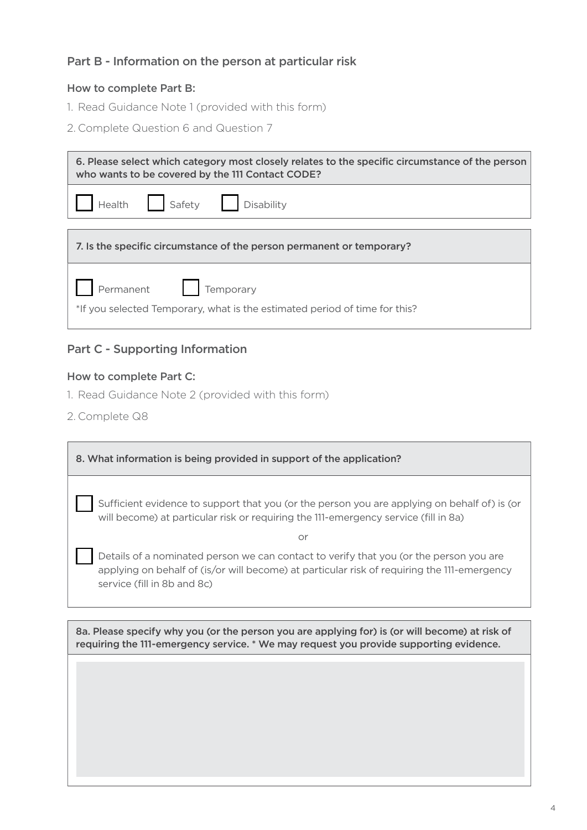## Part B - Information on the person at particular risk

### How to complete Part B:

- 1. Read Guidance Note 1 (provided with this form)
- 2. Complete Question 6 and Question 7

| 6. Please select which category most closely relates to the specific circumstance of the person<br>who wants to be covered by the 111 Contact CODE? |  |  |
|-----------------------------------------------------------------------------------------------------------------------------------------------------|--|--|
| Health Safety Disability                                                                                                                            |  |  |
| 7. Is the specific circumstance of the person permanent or temporary?                                                                               |  |  |
| Permanent   Temporary<br>*If you selected Temporary, what is the estimated period of time for this?                                                 |  |  |

## Part C - Supporting Information

#### How to complete Part C:

- 1. Read Guidance Note 2 (provided with this form)
- 2. Complete Q8

| 8. What information is being provided in support of the application?                                                                                                                                                 |  |
|----------------------------------------------------------------------------------------------------------------------------------------------------------------------------------------------------------------------|--|
| Sufficient evidence to support that you (or the person you are applying on behalf of) is (or<br>will become) at particular risk or requiring the 111-emergency service (fill in 8a)                                  |  |
| Ωr                                                                                                                                                                                                                   |  |
| Details of a nominated person we can contact to verify that you (or the person you are<br>applying on behalf of (is/or will become) at particular risk of requiring the 111-emergency<br>service (fill in 8b and 8c) |  |
|                                                                                                                                                                                                                      |  |

8a. Please specify why you (or the person you are applying for) is (or will become) at risk of requiring the 111-emergency service. \* We may request you provide supporting evidence.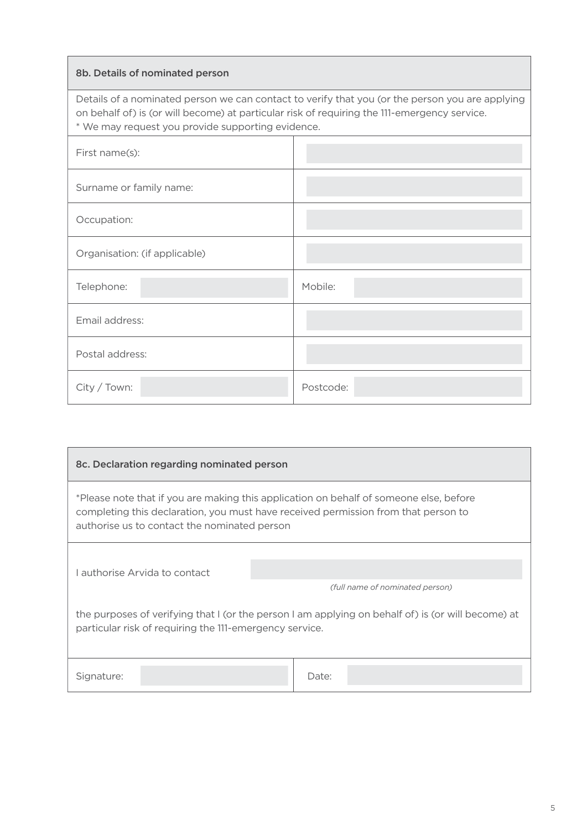#### 8b. Details of nominated person

Details of a nominated person we can contact to verify that you (or the person you are applying on behalf of) is (or will become) at particular risk of requiring the 111-emergency service. \* We may request you provide supporting evidence.

| First name(s):                |           |
|-------------------------------|-----------|
| Surname or family name:       |           |
| Occupation:                   |           |
| Organisation: (if applicable) |           |
| Telephone:                    | Mobile:   |
| Email address:                |           |
| Postal address:               |           |
| City / Town:                  | Postcode: |

| 8c. Declaration regarding nominated person                                                                                                                                                                                   |                                 |
|------------------------------------------------------------------------------------------------------------------------------------------------------------------------------------------------------------------------------|---------------------------------|
| *Please note that if you are making this application on behalf of someone else, before<br>completing this declaration, you must have received permission from that person to<br>authorise us to contact the nominated person |                                 |
|                                                                                                                                                                                                                              |                                 |
| Lauthorise Arvida to contact                                                                                                                                                                                                 | (full name of nominated person) |
| the purposes of verifying that I (or the person I am applying on behalf of) is (or will become) at<br>particular risk of requiring the 111-emergency service.                                                                |                                 |
| Signature:                                                                                                                                                                                                                   | Date:                           |